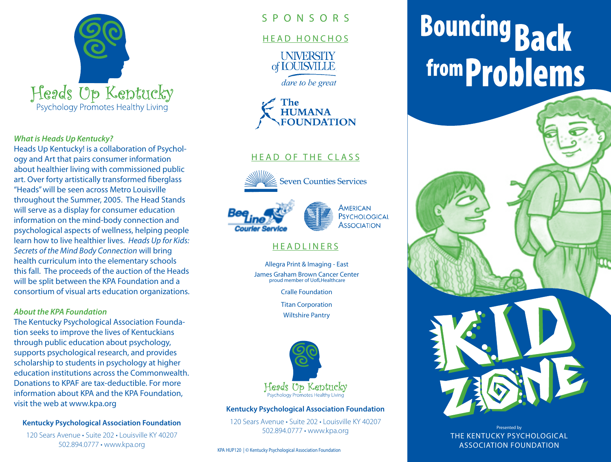

#### *What is Heads Up Kentucky?*

Heads Up Kentucky! is a collaboration of Psychology and Art that pairs consumer information about healthier living with commissioned public art. Over forty artistically transformed fiberglass "Heads" will be seen across Metro Louisville throughout the Summer, 2005. The Head Stands will serve as a display for consumer education information on the mind-body connection and psychological aspects of wellness, helping people learn how to live healthier lives. *Heads Up for Kids: Secrets of the Mind Body Connection* will bring health curriculum into the elementary schools this fall. The proceeds of the auction of the Heads will be split between the KPA Foundation and a consortium of visual arts education organizations.

#### *About the KPA Foundation*

The Kentucky Psychological Association Foundation seeks to improve the lives of Kentuckians through public education about psychology, supports psychological research, and provides scholarship to students in psychology at higher education institutions across the Commonwealth. Donations to KPAF are tax-deductible. For more information about KPA and the KPA Foundation, visit the web at www.kpa.org

#### **Kentucky Psychological Association Foundation**

120 Sears Avenue • Suite 202 • Louisville KY 40207 502.894.0777 • www.kpa.org

# S P O N S O R S

#### HEAD HONCHOS

**UNIVERSITY** of **IOUISVILLE** 

dare to be great



# HEAD OF THE CLASS



**Seven Counties Services** 



**MERICAN PSYCHOLOGICAL Association** 

# **HEADLINERS**

Allegra Print & Imaging - East James Graham Brown Cancer Center proud member of UofLHealthcare

Cralle Foundation

Titan Corporation

Wiltshire Pantry



#### **Kentucky Psychological Association Foundation**

120 Sears Avenue • Suite 202 • Louisville KY 40207 502.894.0777 • www.kpa.org

KPA HUP120 | © Kentucky Psychological Association Foundation

# **Bouncing Back** from **Problems**

Presented by THE KENTUCKY PSYCHOLOGICAL ASSOCIATION FOUNDATION